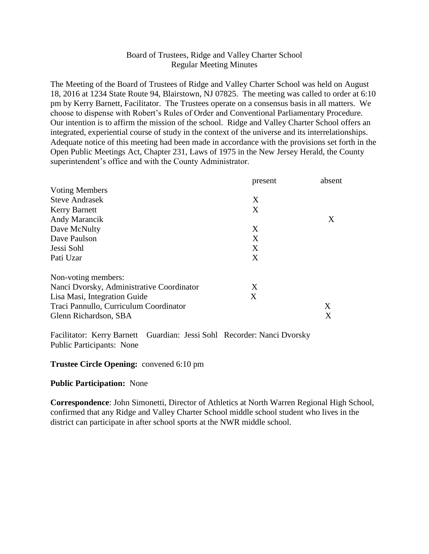## Board of Trustees, Ridge and Valley Charter School Regular Meeting Minutes

The Meeting of the Board of Trustees of Ridge and Valley Charter School was held on August 18, 2016 at 1234 State Route 94, Blairstown, NJ 07825. The meeting was called to order at 6:10 pm by Kerry Barnett, Facilitator. The Trustees operate on a consensus basis in all matters. We choose to dispense with Robert's Rules of Order and Conventional Parliamentary Procedure. Our intention is to affirm the mission of the school. Ridge and Valley Charter School offers an integrated, experiential course of study in the context of the universe and its interrelationships. Adequate notice of this meeting had been made in accordance with the provisions set forth in the Open Public Meetings Act, Chapter 231, Laws of 1975 in the New Jersey Herald, the County superintendent's office and with the County Administrator.

|                                           | present | absent |
|-------------------------------------------|---------|--------|
| <b>Voting Members</b>                     |         |        |
| <b>Steve Andrasek</b>                     | X       |        |
| <b>Kerry Barnett</b>                      | X       |        |
| Andy Marancik                             |         | X      |
| Dave McNulty                              | X       |        |
| Dave Paulson                              | X       |        |
| Jessi Sohl                                | X       |        |
| Pati Uzar                                 | X       |        |
| Non-voting members:                       |         |        |
| Nanci Dvorsky, Administrative Coordinator | X       |        |
| Lisa Masi, Integration Guide              | X       |        |
| Traci Pannullo, Curriculum Coordinator    |         | X      |
| Glenn Richardson, SBA                     |         | X      |

Facilitator: Kerry Barnett Guardian: Jessi Sohl Recorder: Nanci Dvorsky Public Participants: None

### **Trustee Circle Opening:** convened 6:10 pm

### **Public Participation:** None

**Correspondence**: John Simonetti, Director of Athletics at North Warren Regional High School, confirmed that any Ridge and Valley Charter School middle school student who lives in the district can participate in after school sports at the NWR middle school.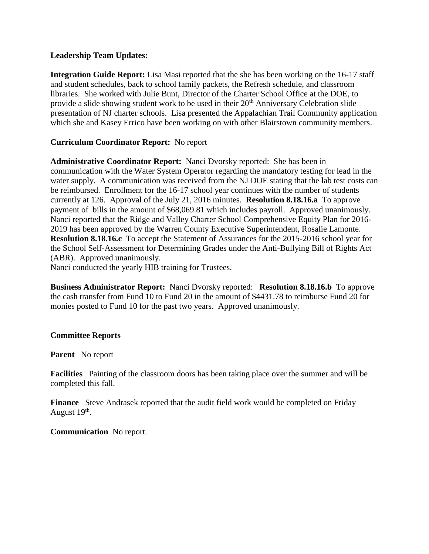### **Leadership Team Updates:**

**Integration Guide Report:** Lisa Masi reported that the she has been working on the 16-17 staff and student schedules, back to school family packets, the Refresh schedule, and classroom libraries. She worked with Julie Bunt, Director of the Charter School Office at the DOE, to provide a slide showing student work to be used in their  $20<sup>th</sup>$  Anniversary Celebration slide presentation of NJ charter schools. Lisa presented the Appalachian Trail Community application which she and Kasey Errico have been working on with other Blairstown community members.

# **Curriculum Coordinator Report:** No report

**Administrative Coordinator Report:** Nanci Dvorsky reported: She has been in communication with the Water System Operator regarding the mandatory testing for lead in the water supply. A communication was received from the NJ DOE stating that the lab test costs can be reimbursed. Enrollment for the 16-17 school year continues with the number of students currently at 126. Approval of the July 21, 2016 minutes. **Resolution 8.18.16.a** To approve payment of bills in the amount of \$68,069.81 which includes payroll. Approved unanimously. Nanci reported that the Ridge and Valley Charter School Comprehensive Equity Plan for 2016- 2019 has been approved by the Warren County Executive Superintendent, Rosalie Lamonte. **Resolution 8.18.16.c** To accept the Statement of Assurances for the 2015-2016 school year for the School Self-Assessment for Determining Grades under the Anti-Bullying Bill of Rights Act (ABR). Approved unanimously.

Nanci conducted the yearly HIB training for Trustees.

**Business Administrator Report:** Nanci Dvorsky reported: **Resolution 8.18.16.b** To approve the cash transfer from Fund 10 to Fund 20 in the amount of \$4431.78 to reimburse Fund 20 for monies posted to Fund 10 for the past two years. Approved unanimously.

### **Committee Reports**

### **Parent** No report

**Facilities** Painting of the classroom doors has been taking place over the summer and will be completed this fall.

**Finance** Steve Andrasek reported that the audit field work would be completed on Friday August 19<sup>th</sup>.

### **Communication** No report.